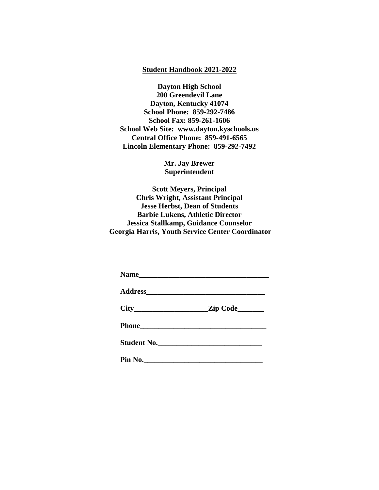# **Student Handbook 2021-2022**

**Dayton High School 200 Greendevil Lane Dayton, Kentucky 41074 School Phone: 859-292-7486 School Fax: 859-261-1606 School Web Site: www.dayton.kyschools.us Central Office Phone: 859-491-6565 Lincoln Elementary Phone: 859-292-7492**

> **Mr. Jay Brewer Superintendent**

**Scott Meyers, Principal Chris Wright, Assistant Principal Jesse Herbst, Dean of Students Barbie Lukens, Athletic Director Jessica Stallkamp, Guidance Counselor Georgia Harris, Youth Service Center Coordinator**

|         | Student No. |
|---------|-------------|
| Pin No. |             |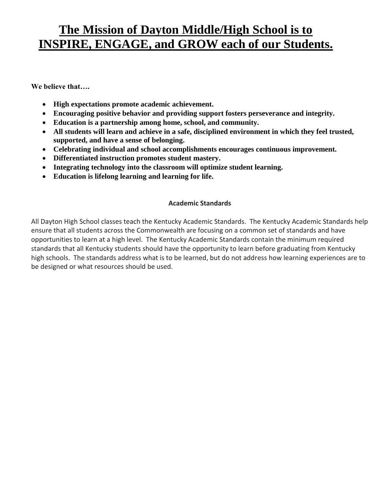# **The Mission of Dayton Middle/High School is to INSPIRE, ENGAGE, and GROW each of our Students.**

**We believe that….**

- **High expectations promote academic achievement.**
- **Encouraging positive behavior and providing support fosters perseverance and integrity.**
- **Education is a partnership among home, school, and community.**
- **All students will learn and achieve in a safe, disciplined environment in which they feel trusted, supported, and have a sense of belonging.**
- **Celebrating individual and school accomplishments encourages continuous improvement.**
- **Differentiated instruction promotes student mastery.**
- **Integrating technology into the classroom will optimize student learning.**
- **Education is lifelong learning and learning for life.**

# **Academic Standards**

All Dayton High School classes teach the Kentucky Academic Standards. The Kentucky Academic Standards help ensure that all students across the Commonwealth are focusing on a common set of standards and have opportunities to learn at a high level. The Kentucky Academic Standards contain the minimum required standards that all Kentucky students should have the opportunity to learn before graduating from Kentucky high schools. The standards address what is to be learned, but do not address how learning experiences are to be designed or what resources should be used.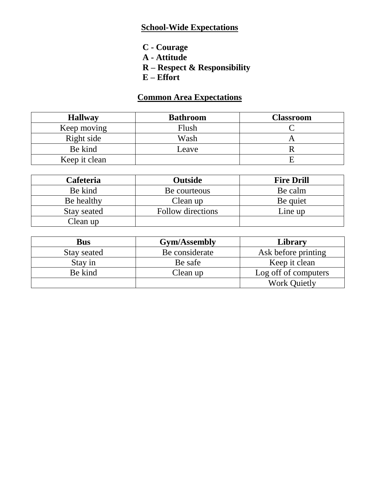# **School-Wide Expectations**

- **C - Courage**
- **A - Attitude**
- **R – Respect & Responsibility**
- **E – Effort**

# **Common Area Expectations**

| <b>Hallway</b> | <b>Bathroom</b> | <b>Classroom</b> |
|----------------|-----------------|------------------|
| Keep moving    | Flush           |                  |
| Right side     | Wash            |                  |
| Be kind        | Leave           |                  |
| Keep it clean  |                 |                  |

| <b>Cafeteria</b> | <b>Outside</b>    | <b>Fire Drill</b> |
|------------------|-------------------|-------------------|
| Be kind          | Be courteous      | Be calm           |
| Be healthy       | Clean up          | Be quiet          |
| Stay seated      | Follow directions | $Line$ up         |
| Clean up         |                   |                   |

| <b>Bus</b>  | <b>Gym/Assembly</b> | Library              |
|-------------|---------------------|----------------------|
| Stay seated | Be considerate      | Ask before printing  |
| Stay in     | Be safe             | Keep it clean        |
| Be kind     | Clean up            | Log off of computers |
|             |                     | <b>Work Quietly</b>  |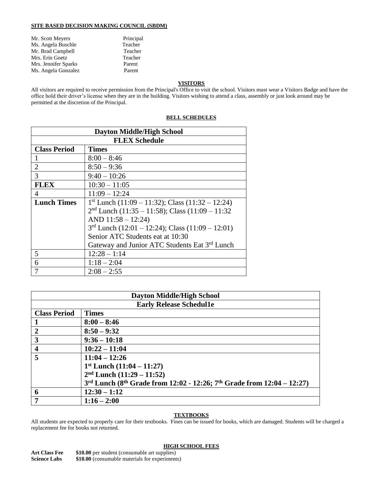# **SITE BASED DECISION MAKING COUNCIL (SBDM)**

| Principal |
|-----------|
| Teacher   |
| Teacher   |
| Teacher   |
| Parent    |
| Parent    |
|           |

# **VISITORS**

All visitors are required to receive permission from the Principal's Office to visit the school. Visitors must wear a Visitors Badge and have the office hold their driver's license when they are in the building. Visitors wishing to attend a class, assembly or just look around may be permitted at the discretion of the Principal.

| <b>Dayton Middle/High School</b> |                                                    |  |  |  |
|----------------------------------|----------------------------------------------------|--|--|--|
|                                  | <b>FLEX Schedule</b>                               |  |  |  |
| <b>Class Period</b>              | <b>Times</b>                                       |  |  |  |
|                                  | $8:00 - 8:46$                                      |  |  |  |
| $\overline{2}$                   | $8:50 - 9:36$                                      |  |  |  |
| 3                                | $9:40 - 10:26$                                     |  |  |  |
| <b>FLEX</b>                      | $10:30 - 11:05$                                    |  |  |  |
| 4                                | $11:09 - 12:24$                                    |  |  |  |
| <b>Lunch Times</b>               | $1st$ Lunch (11:09 – 11:32); Class (11:32 – 12:24) |  |  |  |
|                                  | $2nd$ Lunch (11:35 – 11:58); Class (11:09 – 11:32  |  |  |  |
|                                  | AND $11:58 - 12:24$                                |  |  |  |
|                                  | $3rd$ Lunch (12:01 – 12:24); Class (11:09 – 12:01) |  |  |  |
|                                  | Senior ATC Students eat at 10:30                   |  |  |  |
|                                  | Gateway and Junior ATC Students Eat 3rd Lunch      |  |  |  |
| 5                                | $12:28 - 1:14$                                     |  |  |  |
| 6                                | $1:18 - 2:04$                                      |  |  |  |
|                                  | $2:08 - 2:55$                                      |  |  |  |

# **BELL SCHEDULES**

| <b>Dayton Middle/High School</b> |                                                                        |  |  |  |
|----------------------------------|------------------------------------------------------------------------|--|--|--|
|                                  | <b>Early Release Schedul1e</b>                                         |  |  |  |
| <b>Class Period</b>              | <b>Times</b>                                                           |  |  |  |
|                                  | $8:00 - 8:46$                                                          |  |  |  |
| $\overline{2}$                   | $8:50 - 9:32$                                                          |  |  |  |
| 3                                | $9:36 - 10:18$                                                         |  |  |  |
| $\overline{\mathbf{4}}$          | $10:22 - 11:04$                                                        |  |  |  |
| 5                                | $11:04 - 12:26$                                                        |  |  |  |
|                                  | $1st$ Lunch $(11:04 - 11:27)$                                          |  |  |  |
|                                  | $2nd$ Lunch $(11:29 - 11:52)$                                          |  |  |  |
|                                  | 3rd Lunch (8th Grade from 12:02 - 12:26; 7th Grade from 12:04 - 12:27) |  |  |  |
| 6                                | $12:30 - 1:12$                                                         |  |  |  |
| 7                                | $1:16 - 2:00$                                                          |  |  |  |

# **TEXTBOOKS**

All students are expected to properly care for their textbooks. Fines can be issued for books, which are damaged. Students will be charged a replacement fee for books not returned.

# **HIGH SCHOOL FEES**

**Art Class Fee \$10.00** per student (consumable art supplies) **Science Labs**  $$10.00$  (consumable materials for experiments)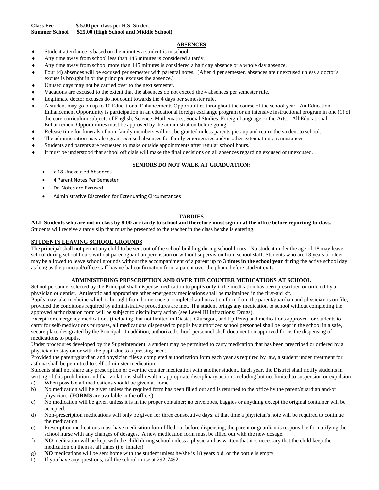# **ABSENCES**

- Student attendance is based on the minutes a student is in school.
- Any time away from school less than 145 minutes is considered a tardy.
- Any time away from school more than 145 minutes is considered a half day absence or a whole day absence.
- Four (4) absences will be excused per semester with parental notes. (After 4 per semester, absences are unexcused unless a doctor's excuse is brought in or the principal excuses the absence.)
- Unused days may not be carried over to the next semester.
- Vacations are excused to the extent that the absences do not exceed the 4 absences per semester rule.
- Legitimate doctor excuses do not count towards the 4 days per semester rule.
- A student may go on up to 10 Educational Enhancements Opportunities throughout the course of the school year. An Education Enhancement Opportunity is participation in an educational foreign exchange program or an intensive instructional program in one (1) of the core curriculum subjects of English, Science, Mathematics, Social Studies, Foreign Language or the Arts. All Educational Enhancement Opportunities must be approved by the administration before going.
- Release time for funerals of non-family members will not be granted unless parents pick up and return the student to school.
- The administration may also grant excused absences for family emergencies and/or other extenuating circumstances.
- Students and parents are requested to make outside appointments after regular school hours.
- It must be understood that school officials will make the final decisions on all absences regarding excused or unexcused.

#### **SENIORS DO NOT WALK AT GRADUATION:**

- > 18 Unexcused Absences
- 4 Parent Notes Per Semester
- Dr. Notes are Excused
- Administrative Discretion for Extenuating Circumstances

# **TARDIES**

**ALL Students who are not in class by 8:00 are tardy to school and therefore must sign in at the office before reporting to class.** Students will receive a tardy slip that must be presented to the teacher in the class he/she is entering.

#### **STUDENTS LEAVING SCHOOL GROUNDS**

The principal shall not permit any child to be sent out of the school building during school hours. No student under the age of 18 may leave school during school hours without parent/guardian permission or without supervision from school staff. Students who are 18 years or older may be allowed to leave school grounds without the accompaniment of a parent up to **3 times in the school year** during the active school day as long as the principal/office staff has verbal confirmation from a parent over the phone before student exits.

#### **ADMINISTERING PRESCRIPTION AND OVER THE COUNTER MEDICATIONS AT SCHOOL**

School personnel selected by the Principal shall dispense medication to pupils only if the medication has been prescribed or ordered by a physician or dentist. Antiseptic and appropriate other emergency medications shall be maintained in the first-aid kit.

Pupils may take medicine which is brought from home once a completed authorization form from the parent/guardian and physician is on file, provided the conditions required by administrative procedures are met. If a student brings any medication to school without completing the approved authorization form will be subject to disciplinary action (see Level III Infractions: Drugs).

Except for emergency medications (including, but not limited to Diastat, Glucagon, and EpiPens) and medications approved for students to carry for self-medications purposes, all medications dispensed to pupils by authorized school personnel shall be kept in the school in a safe, secure place designated by the Principal. In addition, authorized school personnel shall document on approved forms the dispensing of medications to pupils.

Under procedures developed by the Superintendent, a student may be permitted to carry medication that has been prescribed or ordered by a physician to stay on or with the pupil due to a pressing need.

Provided the parent/guardian and physician files a completed authorization form each year as required by law, a student under treatment for asthma shall be permitted to self-administer medication.

Students shall not share any prescription or over the counter medication with another student. Each year, the District shall notify students in writing of this prohibition and that violations shall result in appropriate disciplinary action, including but not limited to suspension or expulsion

- a) When possible all medications should be given at home.
- b) No medication will be given unless the required form has been filled out and is returned to the office by the parent/guardian and/or physician. (**FORMS** are available in the office.)
- c) No medication will be given unless it is in the proper container; no envelopes, baggies or anything except the original container will be accepted.
- d) Non-prescription medications will only be given for three consecutive days, at that time a physician's note will be required to continue the medication.
- e) Prescription medications must have medication form filled out before dispensing; the parent or guardian is responsible for notifying the school nurse with any changes of dosages. A new medication form must be filled out with the new dosage.
- f) **NO** medication will be kept with the child during school unless a physician has written that it is necessary that the child keep the medication on them at all times (i.e. inhaler)
- g) **NO** medications will be sent home with the student unless he/she is 18 years old, or the bottle is empty.
- h) If you have any questions, call the school nurse at 292-7492.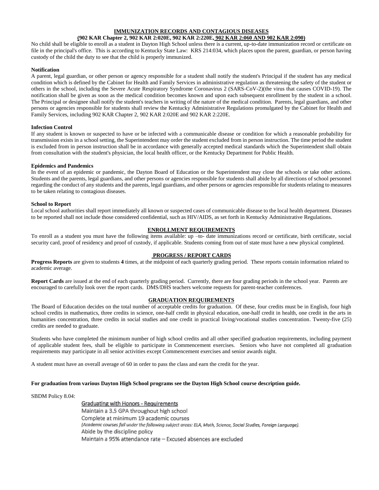# **IMMUNIZATION RECORDS AND CONTAGIOUS DISEASES**

# **(902 KAR Chapter 2, 902 KAR 2:020E, 902 KAR 2:220E, 902 KAR 2:060 AND 902 KAR 2:090)**

No child shall be eligible to enroll as a student in Dayton High School unless there is a current, up-to-date immunization record or certificate on file in the principal's office. This is according to Kentucky State Law: KRS 214:034, which places upon the parent, guardian, or person having custody of the child the duty to see that the child is properly immunized.

#### **Notification**

A parent, legal guardian, or other person or agency responsible for a student shall notify the student's Principal if the student has any medical condition which is defined by the Cabinet for Health and Family Services in administrative regulation as threatening the safety of the student or others in the school, including the Severe Acute Respiratory Syndrome Coronavirus 2 (SARS-CoV-2)(the virus that causes COVID-19). The notification shall be given as soon as the medical condition becomes known and upon each subsequent enrollment by the student in a school. The Principal or designee shall notify the student's teachers in writing of the nature of the medical condition. Parents, legal guardians, and other persons or agencies responsible for students shall review the Kentucky Administrative Regulations promulgated by the Cabinet for Health and Family Services, including 902 KAR Chapter 2, 902 KAR 2:020E and 902 KAR 2:220E.

#### **Infection Control**

If any student is known or suspected to have or be infected with a communicable disease or condition for which a reasonable probability for transmission exists in a school setting, the Superintendent may order the student excluded from in person instruction. The time period the student is excluded from in person instruction shall be in accordance with generally accepted medical standards which the Superintendent shall obtain from consultation with the student's physician, the local health officer, or the Kentucky Department for Public Health.

#### **Epidemics and Pandemics**

In the event of an epidemic or pandemic, the Dayton Board of Education or the Superintendent may close the schools or take other actions. Students and the parents, legal guardians, and other persons or agencies responsible for students shall abide by all directions of school personnel regarding the conduct of any students and the parents, legal guardians, and other persons or agencies responsible for students relating to measures to be taken relating to contagious diseases.

#### **School to Report**

Local school authorities shall report immediately all known or suspected cases of communicable disease to the local health department. Diseases to be reported shall not include those considered confidential, such as HIV/AIDS, as set forth in Kentucky Administrative Regulations.

# **ENROLLMENT REQUIREMENTS**

To enroll as a student you must have the following items available: up –to- date immunizations record or certificate, birth certificate, social security card, proof of residency and proof of custody, if applicable. Students coming from out of state must have a new physical completed.

#### **PROGRESS / REPORT CARDS**

**Progress Reports** are given to students **4** times, at the midpoint of each quarterly grading period. These reports contain information related to academic average.

**Report Cards** are issued at the end of each quarterly grading period. Currently, there are four grading periods in the school year. Parents are encouraged to carefully look over the report cards. DMS/DHS teachers welcome requests for parent-teacher conferences.

# **GRADUATION REQUIREMENTS**

The Board of Education decides on the total number of acceptable credits for graduation. Of these, four credits must be in English, four high school credits in mathematics, three credits in science, one-half credit in physical education, one-half credit in health, one credit in the arts in humanities concentration, three credits in social studies and one credit in practical living/vocational studies concentration. Twenty-five (25) credits are needed to graduate.

Students who have completed the minimum number of high school credits and all other specified graduation requirements, including payment of applicable student fees, shall be eligible to participate in Commencement exercises. Seniors who have not completed all graduation requirements may participate in all senior activities except Commencement exercises and senior awards night.

A student must have an overall average of 60 in order to pass the class and earn the credit for the year.

# **For graduation from various Dayton High School programs see the Dayton High School course description guide.**

SBDM Policy 8.04:

Graduating with Honors - Requirements Maintain a 3.5 GPA throughout high school Complete at minimum 19 academic courses (Academic courses fall under the following subject areas: ELA, Math, Science, Social Studies, Foreign Language). Abide by the discipline policy Maintain a 95% attendance rate - Excused absences are excluded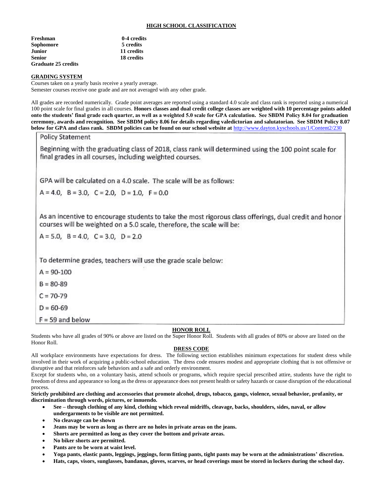# **HIGH SCHOOL CLASSIFICATION**

| Freshman                   | 0-4 credits |
|----------------------------|-------------|
| Sophomore                  | 5 credits   |
| Junior                     | 11 credits  |
| Senior                     | 18 credits  |
| <b>Graduate 25 credits</b> |             |

#### **GRADING SYSTEM**

Courses taken on a yearly basis receive a yearly average. Semester courses receive one grade and are not averaged with any other grade.

All grades are recorded numerically. Grade point averages are reported using a standard 4.0 scale and class rank is reported using a numerical 100 point scale for final grades in all courses. **Honors classes and dual credit college classes are weighted with 10 percentage points added onto the students' final grade each quarter, as well as a weighted 5.0 scale for GPA calculation. See SBDM Policy 8.04 for graduation ceremony, awards and recognition. See SBDM policy 8.06 for details regarding valedictorian and salutatorian. See SBDM Policy 8.07 below for GPA and class rank. SBDM policies can be found on our school website at** <http://www.dayton.kyschools.us/1/Content2/230>

**Policy Statement** 

Beginning with the graduating class of 2018, class rank will determined using the 100 point scale for final grades in all courses, including weighted courses.

GPA will be calculated on a 4.0 scale. The scale will be as follows:

 $A = 4.0$ ,  $B = 3.0$ ,  $C = 2.0$ ,  $D = 1.0$ ,  $F = 0.0$ 

As an incentive to encourage students to take the most rigorous class offerings, dual credit and honor courses will be weighted on a 5.0 scale, therefore, the scale will be:

 $A = 5.0$ ,  $B = 4.0$ ,  $C = 3.0$ ,  $D = 2.0$ 

To determine grades, teachers will use the grade scale below:

 $A = 90 - 100$ 

 $B = 80 - 89$ 

 $C = 70-79$ 

 $D = 60 - 69$ 

 $F = 59$  and below

# **HONOR ROLL**

Students who have all grades of 90% or above are listed on the Super Honor Roll. Students with all grades of 80% or above are listed on the Honor Roll.

# **DRESS CODE**

All workplace environments have expectations for dress. The following section establishes minimum expectations for student dress while involved in their work of acquiring a public-school education. The dress code ensures modest and appropriate clothing that is not offensive or disruptive and that reinforces safe behaviors and a safe and orderly environment.

Except for students who, on a voluntary basis, attend schools or programs, which require special prescribed attire, students have the right to freedom of dress and appearance so long as the dress or appearance does not present health or safety hazards or cause disruption of the educational process.

**Strictly prohibited are clothing and accessories that promote alcohol, drugs, tobacco, gangs, violence, sexual behavior, profanity, or discrimination through words, pictures, or innuendo.**

- **See – through clothing of any kind, clothing which reveal midriffs, cleavage, backs, shoulders, sides, naval, or allow undergarments to be visible are not permitted.**
- **No cleavage can be shown**
- **Jeans may be worn as long as there are no holes in private areas on the jeans.**
- **Shorts are permitted as long as they cover the bottom and private areas.**
- **No biker shorts are permitted.**
- **Pants are to be worn at waist level.**
- **Yoga pants, elastic pants, leggings, jeggings, form fitting pants, tight pants may be worn at the administrations' discretion.**
- **Hats, caps, visors, sunglasses, bandanas, gloves, scarves, or head coverings must be stored in lockers during the school day.**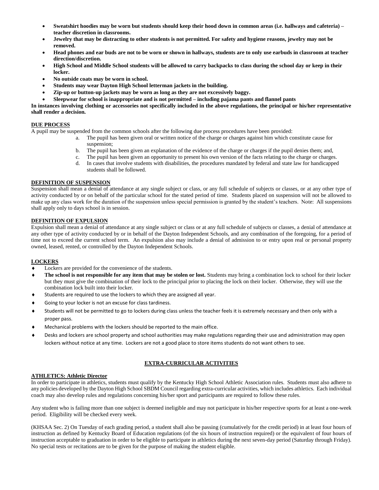- **Sweatshirt hoodies may be worn but students should keep their hood down in common areas (i.e. hallways and cafeteria) – teacher discretion in classrooms.**
- **Jewelry that may be distracting to other students is not permitted. For safety and hygiene reasons, jewelry may not be removed.**
- **Head phones and ear buds are not to be worn or shown in hallways, students are to only use earbuds in classroom at teacher direction/discretion.**
- **High School and Middle School students will be allowed to carry backpacks to class during the school day or keep in their locker.**
- **No outside coats may be worn in school.**
- **Students may wear Dayton High School letterman jackets in the building.**
- **Zip-up or button-up jackets may be worn as long as they are not excessively baggy.**
- **Sleepwear for school is inappropriate and is not permitted – including pajama pants and flannel pants**

**In instances involving clothing or accessories not specifically included in the above regulations, the principal or his/her representative shall render a decision.**

# **DUE PROCESS**

A pupil may be suspended from the common schools after the following due process procedures have been provided:

- a. The pupil has been given oral or written notice of the charge or charges against him which constitute cause for suspension;
	- b. The pupil has been given an explanation of the evidence of the charge or charges if the pupil denies them; and,
- c. The pupil has been given an opportunity to present his own version of the facts relating to the charge or charges.
- d. In cases that involve students with disabilities, the procedures mandated by federal and state law for handicapped students shall be followed.

#### **DEFINITION OF SUSPENSION**

Suspension shall mean a denial of attendance at any single subject or class, or any full schedule of subjects or classes, or at any other type of activity conducted by or on behalf of the particular school for the stated period of time. Students placed on suspension will not be allowed to make up any class work for the duration of the suspension unless special permission is granted by the student's teachers. Note: All suspensions shall apply only to days school is in session.

#### **DEFINITION OF EXPULSION**

Expulsion shall mean a denial of attendance at any single subject or class or at any full schedule of subjects or classes, a denial of attendance at any other type of activity conducted by or in behalf of the Dayton Independent Schools, and any combination of the foregoing, for a period of time not to exceed the current school term. An expulsion also may include a denial of admission to or entry upon real or personal property owned, leased, rented, or controlled by the Dayton Independent Schools.

# **LOCKERS**

- Lockers are provided for the convenience of the students.
- **The school is not responsible for any item that may be stolen or lost.** Students may bring a combination lock to school for their locker but they must give the combination of their lock to the principal prior to placing the lock on their locker. Otherwise, they will use the combination lock built into their locker.
- Students are required to use the lockers to which they are assigned all year.
- Going to your locker is not an excuse for class tardiness.
- Students will not be permitted to go to lockers during class unless the teacher feels it is extremely necessary and then only with a proper pass.
- Mechanical problems with the lockers should be reported to the main office.
- Desks and lockers are school property and school authorities may make regulations regarding their use and administration may open lockers without notice at any time. Lockers are not a good place to store items students do not want others to see.

# **EXTRA-CURRICULAR ACTIVITIES**

#### **ATHLETICS: Athletic Director**

In order to participate in athletics, students must qualify by the Kentucky High School Athletic Association rules. Students must also adhere to any policies developed by the Dayton High School SBDM Council regarding extra-curricular activities, which includes athletics. Each individual coach may also develop rules and regulations concerning his/her sport and participants are required to follow these rules.

Any student who is failing more than one subject is deemed ineligible and may not participate in his/her respective sports for at least a one-week period. Eligibility will be checked every week.

(KHSAA Sec. 2) On Tuesday of each grading period, a student shall also be passing (cumulatively for the credit period) in at least four hours of instruction as defined by Kentucky Board of Education regulations (of the six hours of instruction required) or the equivalent of four hours of instruction acceptable to graduation in order to be eligible to participate in athletics during the next seven-day period (Saturday through Friday). No special tests or recitations are to be given for the purpose of making the student eligible.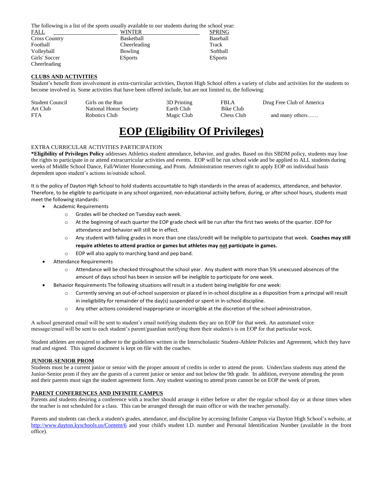The following is a list of the sports usually available to our students during the school year:

| FALL                 | <b>WINTER</b>  | <b>SPRING</b>  |
|----------------------|----------------|----------------|
| <b>Cross Country</b> | Basketball     | Baseball       |
| Football             | Cheerleading   | Track          |
| Volleyball           | Bowling        | Softball       |
| Girls' Soccer        | <b>ESports</b> | <b>ESports</b> |
| Cheerleading         |                |                |

# **CLUBS AND ACTIVITIES**

Student's benefit from involvement in extra-curricular activities, Dayton High School offers a variety of clubs and activities for the students to become involved in. Some activities that have been offered include, but are not limited to, the following:

| <b>Student Council</b> | Girls on the Run       | 3D Printing | <b>FBLA</b> | Drug Free Club of America |
|------------------------|------------------------|-------------|-------------|---------------------------|
| Art Club               | National Honor Society | Earth Club  | Bike Club   |                           |
| <b>FTA</b>             | Robotics Club          | Magic Club  | Chess Club  | and many others           |

# **EOP (Eligibility Of Privileges)**

#### EXTRA CURRICULAR ACTIVITIES PARTICIPATION

**\*Eligibility of Privileges Policy** addresses Athletics student attendance, behavior, and grades. Based on this SBDM policy, students may lose the rights to participate in or attend extracurricular activities and events. EOP will be run school wide and be applied to ALL students during weeks of Middle School Dance, Fall/Winter Homecoming, and Prom. Administration reserves right to apply EOP on individual basis dependent upon student's actions in/outside school.

It is the policy of Dayton High School to hold students accountable to high standards in the areas of academics, attendance, and behavior. Therefore, to be eligible to participate in any school organized, non-educational activity before, during, or after school hours, students must meet the following standards:

- Academic Requirements
	- o Grades will be checked on Tuesday each week.
	- o At the beginning of each quarter the EOP grade check will be run after the first two weeks of the quarter. EOP for attendance and behavior will still be in effect.
	- o Any student with failing grades in more than one class/credit will be ineligible to participate that week. **Coaches may still require athletes to attend practice or games but athletes may not participate in games.**
	- o EOP will also apply to marching band and pep band.
- Attendance Requirements
	- o Attendance will be checked throughout the school year. Any student with more than 5% unexcused absences of the amount of days school has been in session will be ineligible to participate for one week.
- Behavior Requirements The following situations will result in a student being ineligible for one week:
	- o Currently serving an out-of-school suspension or placed in in-school discipline as a disposition from a principal will result in ineligibility for remainder of the day(s) suspended or spent in in-school discipline.
	- o Any other actions considered inappropriate or incorrigible at the discretion of the school administration.

A school generated email will be sent to student's email notifying students they are on EOP for that week. An automated voice message/email will be sent to each student's parent/guardian notifying them their student/s is on EOP for that particular week.

Student athletes are required to adhere to the guidelines written in the Interscholastic Student-Athlete Policies and Agreement, which they have read and signed. This signed document is kept on file with the coaches.

#### **JUNIOR-SENIOR PROM**

Students must be a current junior or senior with the proper amount of credits in order to attend the prom. Underclass students may attend the Junior-Senior prom if they are the guests of a current junior or senior and not below the 9th grade. In addition, everyone attending the prom and their parents must sign the student agreement form. Any student wanting to attend prom cannot be on EOP the week of prom.

#### **PARENT CONFERENCES AND INFINITE CAMPUS**

Parents and students desiring a conference with a teacher should arrange it either before or after the regular school day or at those times when the teacher is not scheduled for a class. This can be arranged through the main office or with the teacher personally.

Parents and students can check a student's grades, attendance, and discipline by accessing Infinite Campus via Dayton High School's website, at <http://www.dayton.kyschools.us/Content/6> and your child's student I.D. number and Personal Identification Number (available in the front office).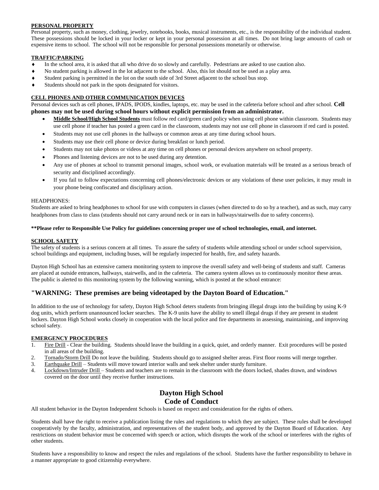# **PERSONAL PROPERTY**

Personal property, such as money, clothing, jewelry, notebooks, books, musical instruments, etc., is the responsibility of the individual student. These possessions should be locked in your locker or kept in your personal possession at all times. Do not bring large amounts of cash or expensive items to school. The school will not be responsible for personal possessions monetarily or otherwise.

# **TRAFFIC/PARKING**

- In the school area, it is asked that all who drive do so slowly and carefully. Pedestrians are asked to use caution also.
- No student parking is allowed in the lot adjacent to the school. Also, this lot should not be used as a play area.
- Student parking is permitted in the lot on the south side of 3rd Street adjacent to the school bus stop.
- Students should not park in the spots designated for visitors.

# **CELL PHONES AND OTHER COMMUNICATION DEVICES**

Personal devices such as cell phones, IPADS, IPODS, kindles, laptops, etc. may be used in the cafeteria before school and after school. **Cell phones may not be used during school hours without explicit permission from an administrator.**

- **Middle School/High School Students** must follow red card/green card policy when using cell phone within classroom. Students may use cell phone if teacher has posted a green card in the classroom, students may not use cell phone in classroom if red card is posted.
- Students may not use cell phones in the hallways or common areas at any time during school hours.
- Students may use their cell phone or device during breakfast or lunch period.
- Students may not take photos or videos at any time on cell phones or personal devices anywhere on school property.
- Phones and listening devices are not to be used during any detention.
- Any use of phones at school to transmit personal images, school work, or evaluation materials will be treated as a serious breach of security and disciplined accordingly.
- If you fail to follow expectations concerning cell phones/electronic devices or any violations of these user policies, it may result in your phone being confiscated and disciplinary action.

# HEADPHONES:

Students are asked to bring headphones to school for use with computers in classes (when directed to do so by a teacher), and as such, may carry headphones from class to class (students should not carry around neck or in ears in hallways/stairwells due to safety concerns).

# **\*\*Please refer to Responsible Use Policy for guidelines concerning proper use of school technologies, email, and internet.**

# **SCHOOL SAFETY**

The safety of students is a serious concern at all times. To assure the safety of students while attending school or under school supervision, school buildings and equipment, including buses, will be regularly inspected for health, fire, and safety hazards.

Dayton High School has an extensive camera monitoring system to improve the overall safety and well-being of students and staff. Cameras are placed at outside entrances, hallways, stairwells, and in the cafeteria. The camera system allows us to continuously monitor these areas. The public is alerted to this monitoring system by the following warning, which is posted at the school entrance:

# **"WARNING: These premises are being videotaped by the Dayton Board of Education."**

In addition to the use of technology for safety, Dayton High School deters students from bringing illegal drugs into the building by using K-9 dog units, which perform unannounced locker searches. The K-9 units have the ability to smell illegal drugs if they are present in student lockers. Dayton High School works closely in cooperation with the local police and fire departments in assessing, maintaining, and improving school safety.

# **EMERGENCY PROCEDURES**

- 1. Fire Drill Clear the building. Students should leave the building in a quick, quiet, and orderly manner. Exit procedures will be posted in all areas of the building.
- 2. Tornado/Storm Drill Do not leave the building. Students should go to assigned shelter areas. First floor rooms will merge together.
- 3. Earthquake Drill Students will move toward interior walls and seek shelter under sturdy furniture.
- 4. Lockdown/Intruder Drill Students and teachers are to remain in the classroom with the doors locked, shades drawn, and windows covered on the door until they receive further instructions.

# **Dayton High School Code of Conduct**

All student behavior in the Dayton Independent Schools is based on respect and consideration for the rights of others.

Students shall have the right to receive a publication listing the rules and regulations to which they are subject. These rules shall be developed cooperatively by the faculty, administration, and representatives of the student body, and approved by the Dayton Board of Education. Any restrictions on student behavior must be concerned with speech or action, which disrupts the work of the school or interferes with the rights of other students.

Students have a responsibility to know and respect the rules and regulations of the school. Students have the further responsibility to behave in a manner appropriate to good citizenship everywhere.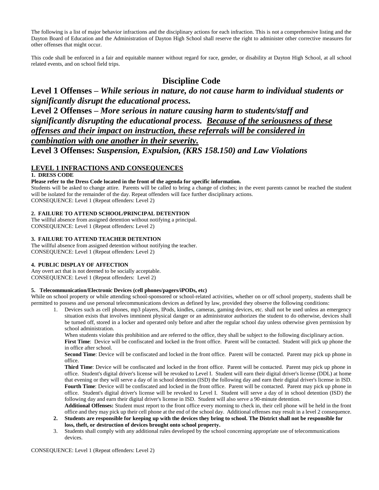The following is a list of major behavior infractions and the disciplinary actions for each infraction. This is not a comprehensive listing and the Dayton Board of Education and the Administration of Dayton High School shall reserve the right to administer other corrective measures for other offenses that might occur.

This code shall be enforced in a fair and equitable manner without regard for race, gender, or disability at Dayton High School, at all school related events, and on school field trips.

# **Discipline Code**

# **Level 1 Offenses –** *While serious in nature, do not cause harm to individual students or significantly disrupt the educational process.*

**Level 2 Offenses –** *More serious in nature causing harm to students/staff and significantly disrupting the educational process. Because of the seriousness of these offenses and their impact on instruction, these referrals will be considered in combination with one another in their severity.* **Level 3 Offenses:** *Suspension, Expulsion, (KRS 158.150) and Law Violations*

# **LEVEL 1 INFRACTIONS AND CONSEQUENCES**

# **1. DRESS CODE**

# **Please refer to the Dress Code located in the front of the agenda for specific information.**

Students will be asked to change attire. Parents will be called to bring a change of clothes; in the event parents cannot be reached the student will be isolated for the remainder of the day. Repeat offenders will face further disciplinary actions. CONSEQUENCE: Level 1 (Repeat offenders: Level 2)

# **2. FAILURE TO ATTEND SCHOOL/PRINCIPAL DETENTION**

The willful absence from assigned detention without notifying a principal. CONSEQUENCE: Level 1 (Repeat offenders: Level 2)

# **3. FAILURE TO ATTEND TEACHER DETENTION**

The willful absence from assigned detention without notifying the teacher. CONSEQUENCE: Level 1 (Repeat offenders: Level 2)

# **4. PUBLIC DISPLAY OF AFFECTION**

Any overt act that is not deemed to be socially acceptable. CONSEQUENCE: Level 1 (Repeat offenders: Level 2)

# **5. Telecommunication/Electronic Devices (cell phones/pagers/iPODs, etc)**

While on school property or while attending school-sponsored or school-related activities, whether on or off school property, students shall be permitted to possess and use personal telecommunications devices as defined by law, provided they observe the following conditions:

1. Devices such as cell phones, mp3 players, IPods, kindles, cameras, gaming devices, etc. shall not be used unless an emergency situation exists that involves imminent physical danger or an administrator authorizes the student to do otherwise, devices shall be turned off, stored in a locker and operated only before and after the regular school day unless otherwise given permission by school administration.

When students violate this prohibition and are referred to the office, they shall be subject to the following disciplinary action. First Time: Device will be confiscated and locked in the front office. Parent will be contacted. Student will pick up phone the in office after school.

Second Time: Device will be confiscated and locked in the front office. Parent will be contacted. Parent may pick up phone in office.

**Third Time**: Device will be confiscated and locked in the front office. Parent will be contacted. Parent may pick up phone in office. Student's digital driver's license will be revoked to Level I. Student will earn their digital driver's license (DDL) at home that evening or they will serve a day of in school detention (ISD) the following day and earn their digital driver's license in ISD. Fourth Time: Device will be confiscated and locked in the front office. Parent will be contacted. Parent may pick up phone in office. Student's digital driver's license will be revoked to Level I. Student will serve a day of in school detention (ISD) the following day and earn their digital driver's license in ISD. Student will also serve a 90-minute detention.

**Additional Offenses:** Student must report to the front office every morning to check in, their cell phone will be held in the front office and they may pick up their cell phone at the end of the school day. Additional offenses may result in a level 2 consequence. **2. Students are responsible for keeping up with the devices they bring to school. The District shall not be responsible for** 

- **loss, theft, or destruction of devices brought onto school property.**
- 3. Students shall comply with any additional rules developed by the school concerning appropriate use of telecommunications devices.

CONSEQUENCE: Level 1 (Repeat offenders: Level 2)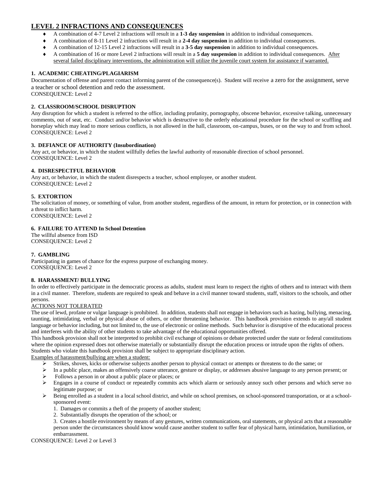# **LEVEL 2 INFRACTIONS AND CONSEQUENCES**

- A combination of 4-7 Level 2 infractions will result in a **1-3 day suspension** in addition to individual consequences.
- A combination of 8-11 Level 2 infractions will result in a **2-4 day suspension** in addition to individual consequences.
- A combination of 12-15 Level 2 infractions will result in a **3-5 day suspension** in addition to individual consequences.
- A combination of 16 or more Level 2 infractions will result in a **5 day suspension** in addition to individual consequences. After several failed disciplinary interventions, the administration will utilize the juvenile court system for assistance if warranted.

# **1. ACADEMIC CHEATING/PLAGIARISM**

Documentation of offense and parent contact informing parent of the consequence(s). Student will receive a zero for the assignment, serve a teacher or school detention and redo the assessment.

CONSEQUENCE: Level 2

# **2. CLASSROOM/SCHOOL DISRUPTION**

Any disruption for which a student is referred to the office, including profanity, pornography, obscene behavior, excessive talking, unnecessary comments, out of seat, etc. Conduct and/or behavior which is destructive to the orderly educational procedure for the school or scuffling and horseplay which may lead to more serious conflicts, is not allowed in the hall, classroom, on-campus, buses, or on the way to and from school. CONSEQUENCE: Level 2

# **3. DEFIANCE OF AUTHORITY (Insubordination)**

Any act, or behavior, in which the student willfully defies the lawful authority of reasonable direction of school personnel. CONSEQUENCE: Level 2

# **4. DISRESPECTFUL BEHAVIOR**

Any act, or behavior, in which the student disrespects a teacher, school employee, or another student. CONSEQUENCE: Level 2

# **5. EXTORTION**

The solicitation of money, or something of value, from another student, regardless of the amount, in return for protection, or in connection with a threat to inflict harm.

CONSEQUENCE: Level 2

# **6. FAILURE TO ATTEND In School Detention**

The willful absence from ISD CONSEQUENCE: Level 2

# **7. GAMBLING**

Participating in games of chance for the express purpose of exchanging money. CONSEQUENCE: Level 2

# **8. HARASSMENT/ BULLYING**

In order to effectively participate in the democratic process as adults, student must learn to respect the rights of others and to interact with them in a civil manner. Therefore, students are required to speak and behave in a civil manner toward students, staff, visitors to the schools, and other persons.

# ACTIONS NOT TOLERATED

The use of lewd, profane or vulgar language is prohibited. In addition, students shall not engage in behaviors such as hazing, bullying, menacing, taunting, intimidating, verbal or physical abuse of others, or other threatening behavior. This handbook provision extends to any/all student language or behavior including, but not limited to, the use of electronic or online methods. Such behavior is disruptive of the educational process and interferes with the ability of other students to take advantage of the educational opportunities offered.

This handbook provision shall not be interpreted to prohibit civil exchange of opinions or debate protected under the state or federal constitutions where the opinion expressed does not otherwise materially or substantially disrupt the education process or intrude upon the rights of others. Students who violate this handbook provision shall be subject to appropriate disciplinary action.

Examples of harassment/bullying are when a student:

- ➢ Strikes, shoves, kicks or otherwise subjects another person to physical contact or attempts or threatens to do the same; or
- ➢ In a public place, makes an offensively coarse utterance, gesture or display, or addresses abusive language to any person present; or
- ➢ Follows a person in or about a public place or places; or
- ➢ Engages in a course of conduct or repeatedly commits acts which alarm or seriously annoy such other persons and which serve no legitimate purpose; or
- $\triangleright$  Being enrolled as a student in a local school district, and while on school premises, on school-sponsored transportation, or at a schoolsponsored event:
	- 1. Damages or commits a theft of the property of another student;
	- 2. Substantially disrupts the operation of the school; or
	- 3. Creates a hostile environment by means of any gestures, written communications, oral statements, or physical acts that a reasonable person under the circumstances should know would cause another student to suffer fear of physical harm, intimidation, humiliation, or embarrassment.

CONSEQUENCE: Level 2 or Level 3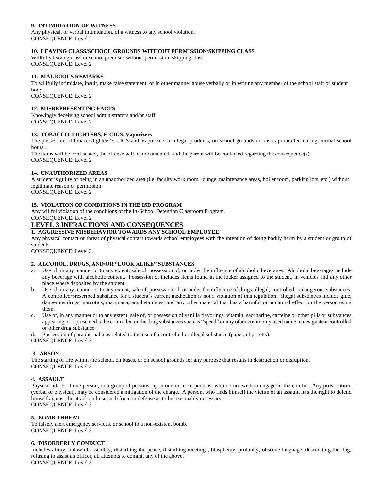# **9. INTIMIDATION OF WITNESS**

Any physical, or verbal intimidation, of a witness to any school violation. CONSEQUENCE: Level 2

# **10. LEAVING CLASS/SCHOOL GROUNDS WITHOUT PERMISSION/SKIPPING CLASS**

Willfully leaving class or school premises without permission; skipping class CONSEQUENCE: Level 2

# **11. MALICIOUS REMARKS**

To willfully intimidate, insult, make false statement, or in other manner abuse verbally or in writing any member of the school staff or student body.

CONSEQUENCE: Level 2

#### **12. MISREPRESENTING FACTS**

Knowingly deceiving school administrators and/or staff CONSEQUENCE: Level 2

#### **13. TOBACCO, LIGHTERS, E-CIGS, Vaporizers**

The possession of tobacco/lighters/E-CIGS and Vaporizers or illegal products, on school grounds or bus is prohibited during normal school hours.

The items will be confiscated, the offense will be documented, and the parent will be contacted regarding the consequence(s). CONSEQUENCE: Level 2

#### **14. UNAUTHORIZED AREAS**

A student is guilty of being in an unauthorized area (i.e. faculty work room, lounge, maintenance areas, boiler room, parking lots, etc.) without legitimate reason or permission.

CONSEQUENCE: Level 2

# **15. VIOLATION OF CONDITIONS IN THE ISD PROGRAM**

Any willful violation of the conditions of the In-School Detention Classroom Program. CONSEQUENCE: Level 2

# **LEVEL 3 INFRACTIONS AND CONSEQUENCES**

#### **1. AGGRESSIVE MISBEHAVIOR TOWARDS ANY SCHOOL EMPLOYEE**

Any physical contact or threat of physical contact towards school employees with the intention of doing bodily harm by a student or group of students.

CONSEQUENCE: Level 3

# **2. ALCOHOL, DRUGS, AND/OR "LOOK ALIKE" SUBSTANCES**

- a. Use of, in any manner or to any extent, sale of, possession of, or under the influence of alcoholic beverages. Alcoholic beverages include any beverage with alcoholic content. Possession of includes items found in the locker assigned to the student, in vehicles and any other place where deposited by the student.
- b. Use of, in any manner or to any extent, sale of, possession of, or under the influence of drugs, illegal, controlled or dangerous substances. A controlled/prescribed substance for a student's current medication is not a violation of this regulation. Illegal substances include glue, dangerous drugs, narcotics, marijuana, amphetamines, and any other material that has a harmful or unnatural effect on the person using them.
- c. Use of, in any manner or to any extent, sale of, or possession of vanilla flavorings, vitamin, saccharine, caffeine or other pills or substances appearing or represented to be controlled or the drug substances such as "speed" or any other commonly used name to designate a controlled or other drug substance.

Possession of paraphernalia as related to the use of a controlled or illegal substance (paper, clips, etc.).

CONSEQUENCE: Level 3

# **3. ARSON**

The starting of fire within the school, on buses, or on school grounds for any purpose that results in destruction or disruption. CONSEQUENCE: Level 3

# **4. ASSAULT**

Physical attack of one person, or a group of persons, upon one or more persons, who do not wish to engage in the conflict. Any provocation, (verbal or physical), may be considered a mitigation of the charge. A person, who finds himself the victim of an assault, has the right to defend himself against the attack and use such force in defense as to be reasonably necessary. CONSEQUENCE: Level 3

#### **5. BOMB THREAT**

To falsely alert emergency services, or school to a non-existent bomb. CONSEQUENCE: Level 3

#### **6. DISORDERLY CONDUCT**

Includes-affray, unlawful assembly, disturbing the peace, disturbing meetings, blasphemy, profanity, obscene language, desecrating the flag, refusing to assist an officer, all attempts to commit any of the above. CONSEQUENCE: Level 3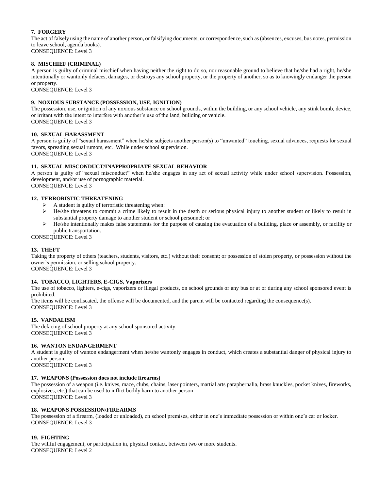# **7. FORGERY**

The act of falsely using the name of another person, or falsifying documents, or correspondence, such as (absences, excuses, bus notes, permission to leave school, agenda books).

CONSEQUENCE: Level 3

# **8. MISCHIEF (CRIMINAL)**

A person is guilty of criminal mischief when having neither the right to do so, nor reasonable ground to believe that he/she had a right, he/she intentionally or wantonly defaces, damages, or destroys any school property, or the property of another, so as to knowingly endanger the person or property.

CONSEQUENCE: Level 3

# **9. NOXIOUS SUBSTANCE (POSSESSION, USE, IGNITION)**

The possession, use, or ignition of any noxious substance on school grounds, within the building, or any school vehicle, any stink bomb, device, or irritant with the intent to interfere with another's use of the land, building or vehicle. CONSEQUENCE: Level 3

# **10. SEXUAL HARASSMENT**

A person is guilty of "sexual harassment" when he/she subjects another person(s) to "unwanted" touching, sexual advances, requests for sexual favors, spreading sexual rumors, etc. While under school supervision. CONSEQUENCE: Level 3

# **11. SEXUAL MISCONDUCT/INAPPROPRIATE SEXUAL BEHAVIOR**

A person is guilty of "sexual misconduct" when he/she engages in any act of sexual activity while under school supervision. Possession, development, and/or use of pornographic material. CONSEQUENCE: Level 3

# **12. TERRORISTIC THREATENING**

- 
- $\triangleright$  A student is guilty of terroristic threatening when:<br> $\triangleright$  He/she threatens to commit a crime likely to rest ➢ He/she threatens to commit a crime likely to result in the death or serious physical injury to another student or likely to result in substantial property damage to another student or school personnel; or
- $\triangleright$  He/she intentionally makes false statements for the purpose of causing the evacuation of a building, place or assembly, or facility or public transportation.

CONSEQUENCE: Level 3

# **13. THEFT**

Taking the property of others (teachers, students, visitors, etc.) without their consent; or possession of stolen property, or possession without the owner's permission, or selling school property.

CONSEQUENCE: Level 3

# **14. TOBACCO, LIGHTERS, E-CIGS, Vaporizers**

The use of tobacco, lighters, e-cigs, vaporizers or illegal products, on school grounds or any bus or at or during any school sponsored event is prohibited.

The items will be confiscated, the offense will be documented, and the parent will be contacted regarding the consequence(s). CONSEQUENCE: Level 3

# **15. VANDALISM**

The defacing of school property at any school sponsored activity. CONSEQUENCE: Level 3

# **16. WANTON ENDANGERMENT**

A student is guilty of wanton endangerment when he/she wantonly engages in conduct, which creates a substantial danger of physical injury to another person.

CONSEQUENCE: Level 3

# **17. WEAPONS (Possession does not include firearms)**

The possession of a weapon (i.e. knives, mace, clubs, chains, laser pointers, martial arts paraphernalia, brass knuckles, pocket knives, fireworks, explosives, etc.) that can be used to inflict bodily harm to another person CONSEQUENCE: Level 3

# **18. WEAPONS POSSESSION/FIREARMS**

The possession of a firearm, (loaded or unloaded), on school premises, either in one's immediate possession or within one's car or locker. CONSEQUENCE: Level 3

# **19. FIGHTING**

The willful engagement, or participation in, physical contact, between two or more students. CONSEQUENCE: Level 2